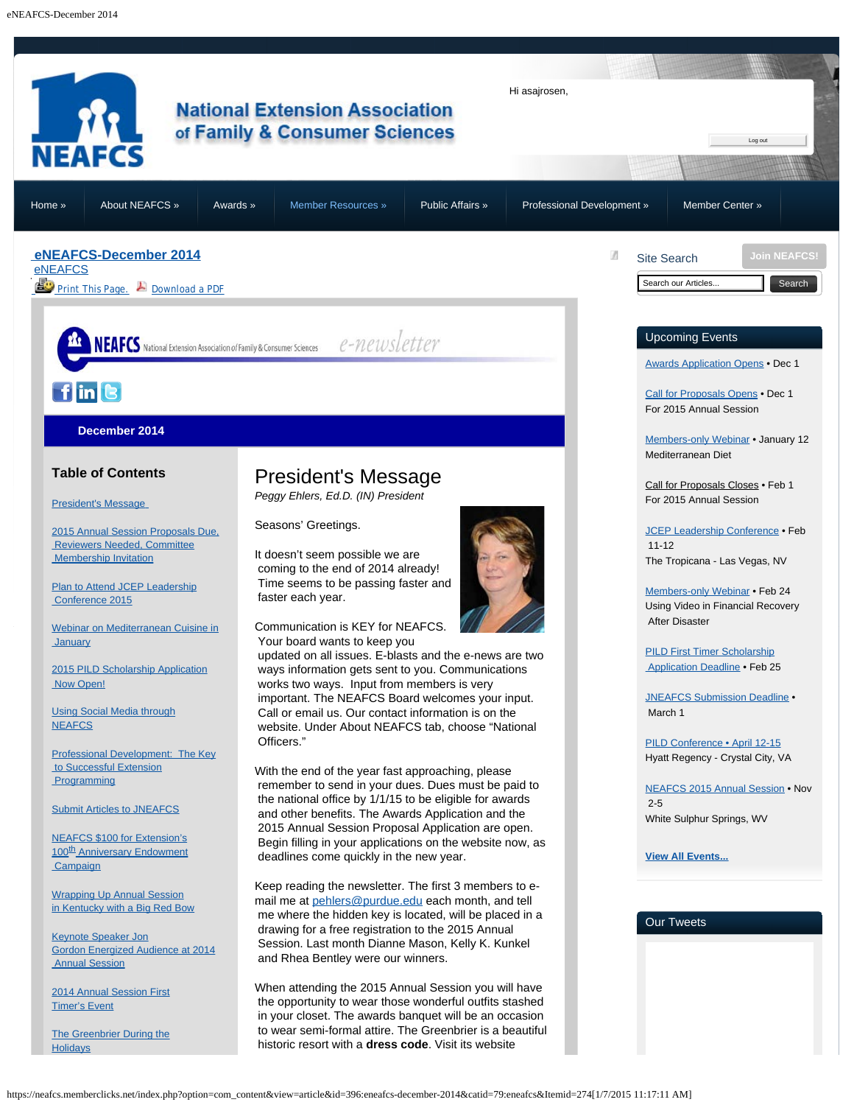<span id="page-0-2"></span><span id="page-0-1"></span><span id="page-0-0"></span>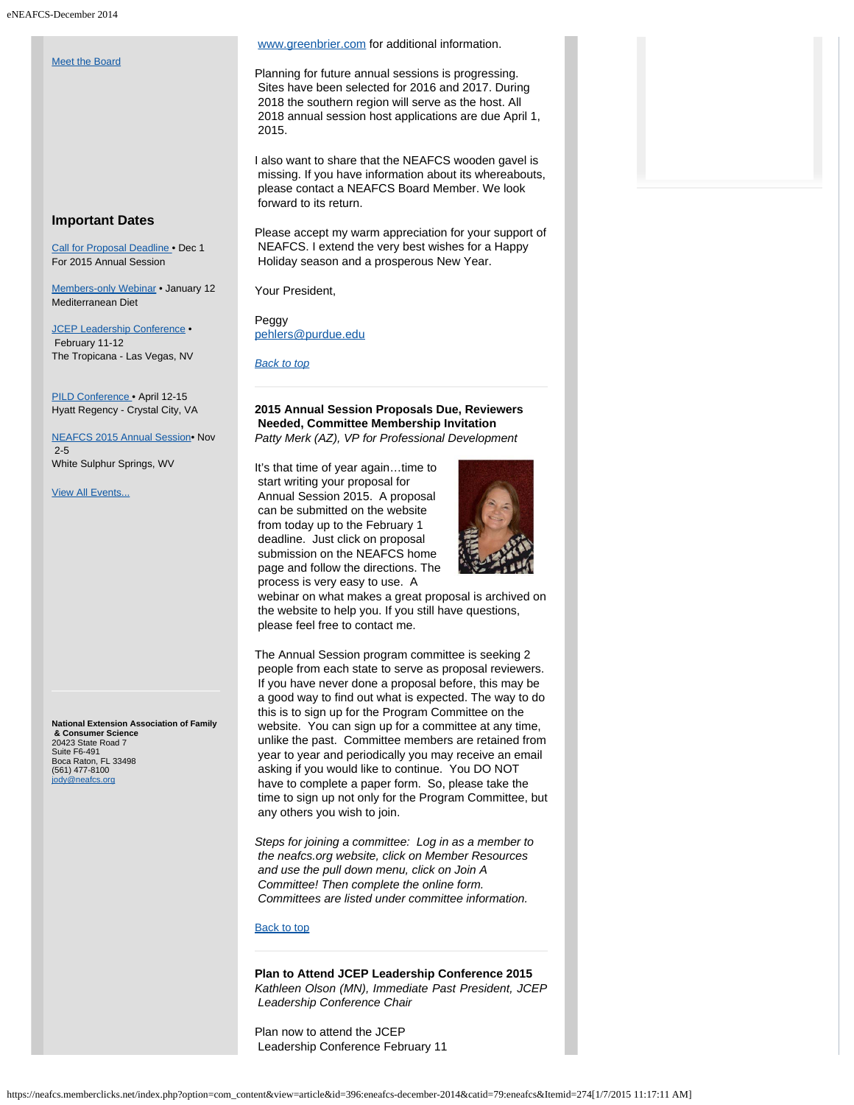#### [Meet the Board](#page-8-0)

## **Important Dates**

[Call for Proposal Deadline](https://neafcs.memberclicks.net/index.php?option=com_mc&view=mc&mcid=9) • Dec 1 For 2015 Annual Session

[Members-only Webinar](http://neafcs.memberclicks.net/index.php?option=com_mc&view=mc&mcid=9) • January 12 Mediterranean Diet

[JCEP Leadership Conference](http://www.jcep.org/leadership-conference) . February 11-12 The Tropicana - Las Vegas, NV

[PILD Conference](http://www.jcep.org/pild-conference) • April 12-15 Hyatt Regency - Crystal City, VA

<span id="page-1-0"></span>[NEAFCS 2015 Annual Session](https://neafcs.memberclicks.net/index.php?option=com_mc&view=mc&mcid=9)• Nov 2-5 White Sulphur Springs, WV

[View All Events...](https://neafcs.memberclicks.net/index.php?option=com_mc&view=mc&mcid=9)

<span id="page-1-1"></span>**National Extension Association of Family & Consumer Science** 20423 State Road 7<br>Suite F6-491 Suite F6-491 Boca Raton, FL 33498 (561) 477-8100 dy@neafcs.org

## [www.greenbrier.com](http://www.greenbrier.com/) for additional information.

Planning for future annual sessions is progressing. Sites have been selected for 2016 and 2017. During 2018 the southern region will serve as the host. All 2018 annual session host applications are due April 1, 2015.

I also want to share that the NEAFCS wooden gavel is missing. If you have information about its whereabouts, please contact a NEAFCS Board Member. We look forward to its return.

Please accept my warm appreciation for your support of NEAFCS. I extend the very best wishes for a Happy Holiday season and a prosperous New Year.

Your President,

Peggy [pehlers@purdue.edu](mailto:pehlers@purdue.edu)

*[Back to top](#page-0-2)*

# **2015 Annual Session Proposals Due, Reviewers Needed, Committee Membership Invitation** *Patty Merk (AZ), VP for Professional Development*

It's that time of year again…time to start writing your proposal for Annual Session 2015. A proposal can be submitted on the website from today up to the February 1 deadline. Just click on proposal submission on the NEAFCS home page and follow the directions. The process is very easy to use. A



 webinar on what makes a great proposal is archived on the website to help you. If you still have questions, please feel free to contact me.

The Annual Session program committee is seeking 2 people from each state to serve as proposal reviewers. If you have never done a proposal before, this may be a good way to find out what is expected. The way to do this is to sign up for the Program Committee on the website. You can sign up for a committee at any time, unlike the past. Committee members are retained from year to year and periodically you may receive an email asking if you would like to continue. You DO NOT have to complete a paper form. So, please take the time to sign up not only for the Program Committee, but any others you wish to join.

*Steps for joining a committee: Log in as a member to the neafcs.org website, click on Member Resources and use the pull down menu, click on Join A Committee! Then complete the online form. Committees are listed under committee information.*

## [Back to top](#page-0-2)

**Plan to Attend JCEP Leadership Conference 2015** *Kathleen Olson (MN), Immediate Past President, JCEP Leadership Conference Chair*

Plan now to attend the JCEP Leadership Conference February 11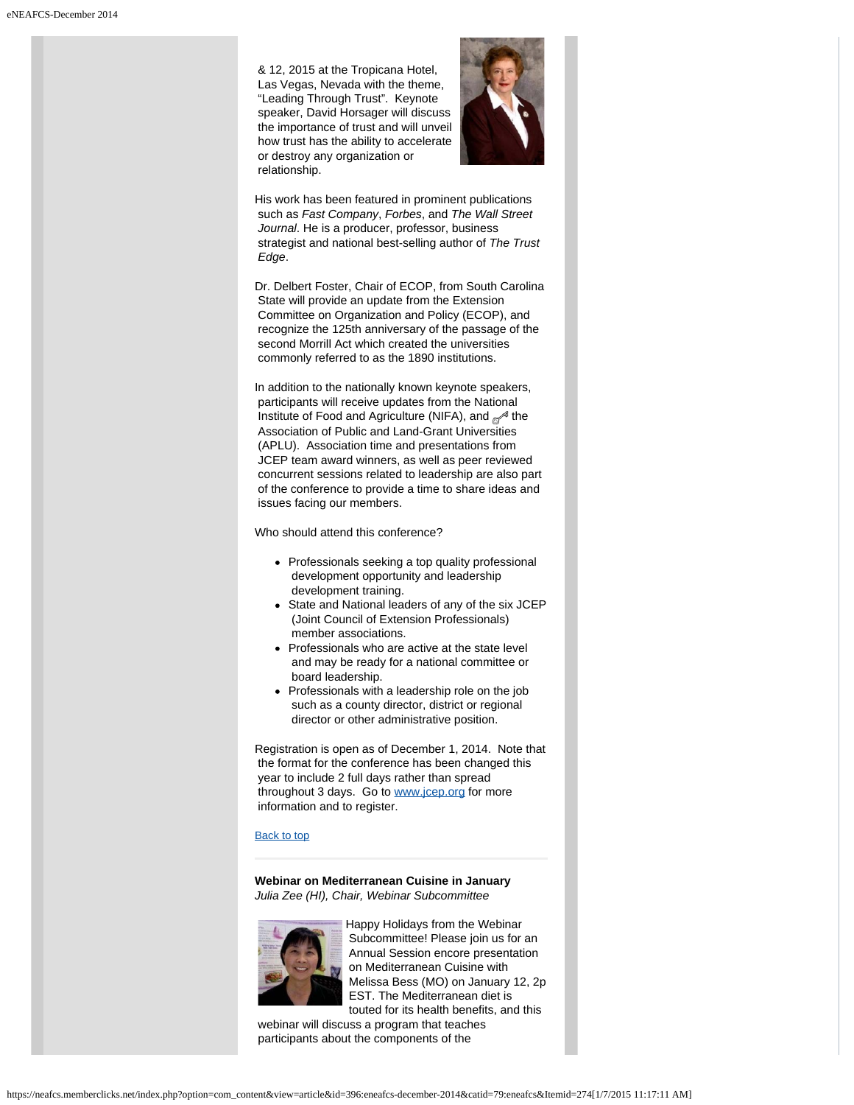& 12, 2015 at the Tropicana Hotel, Las Vegas, Nevada with the theme, "Leading Through Trust". Keynote speaker, David Horsager will discuss the importance of trust and will unveil how trust has the ability to accelerate or destroy any organization or relationship.



His work has been featured in prominent publications such as *Fast Company*, *Forbes*, and *The Wall Street Journal*. He is a producer, professor, business strategist and national best-selling author of *The Trust Edge*.

Dr. Delbert Foster, Chair of ECOP, from South Carolina State will provide an update from the Extension Committee on Organization and Policy (ECOP), and recognize the 125th anniversary of the passage of the second Morrill Act which created the universities commonly referred to as the 1890 institutions.

In addition to the nationally known keynote speakers, participants will receive updates from the National Institute of Food and Agriculture (NIFA), and  $\mathcal{P}$  the Association of Public and Land-Grant Universities (APLU). Association time and presentations from JCEP team award winners, as well as peer reviewed concurrent sessions related to leadership are also part of the conference to provide a time to share ideas and issues facing our members.

Who should attend this conference?

- Professionals seeking a top quality professional development opportunity and leadership development training.
- State and National leaders of any of the six JCEP (Joint Council of Extension Professionals) member associations.
- Professionals who are active at the state level and may be ready for a national committee or board leadership.
- Professionals with a leadership role on the job such as a county director, district or regional director or other administrative position.

Registration is open as of December 1, 2014. Note that the format for the conference has been changed this year to include 2 full days rather than spread throughout 3 days. Go to [www.jcep.org](http://www.jcep.org/) for more information and to register.

## [Back to top](#page-0-2)

**Webinar on Mediterranean Cuisine in January** *Julia Zee (HI), Chair, Webinar Subcommittee*

<span id="page-2-0"></span>

Happy Holidays from the Webinar Subcommittee! Please join us for an Annual Session encore presentation on Mediterranean Cuisine with Melissa Bess (MO) on January 12, 2p EST. The Mediterranean diet is touted for its health benefits, and this

 webinar will discuss a program that teaches participants about the components of the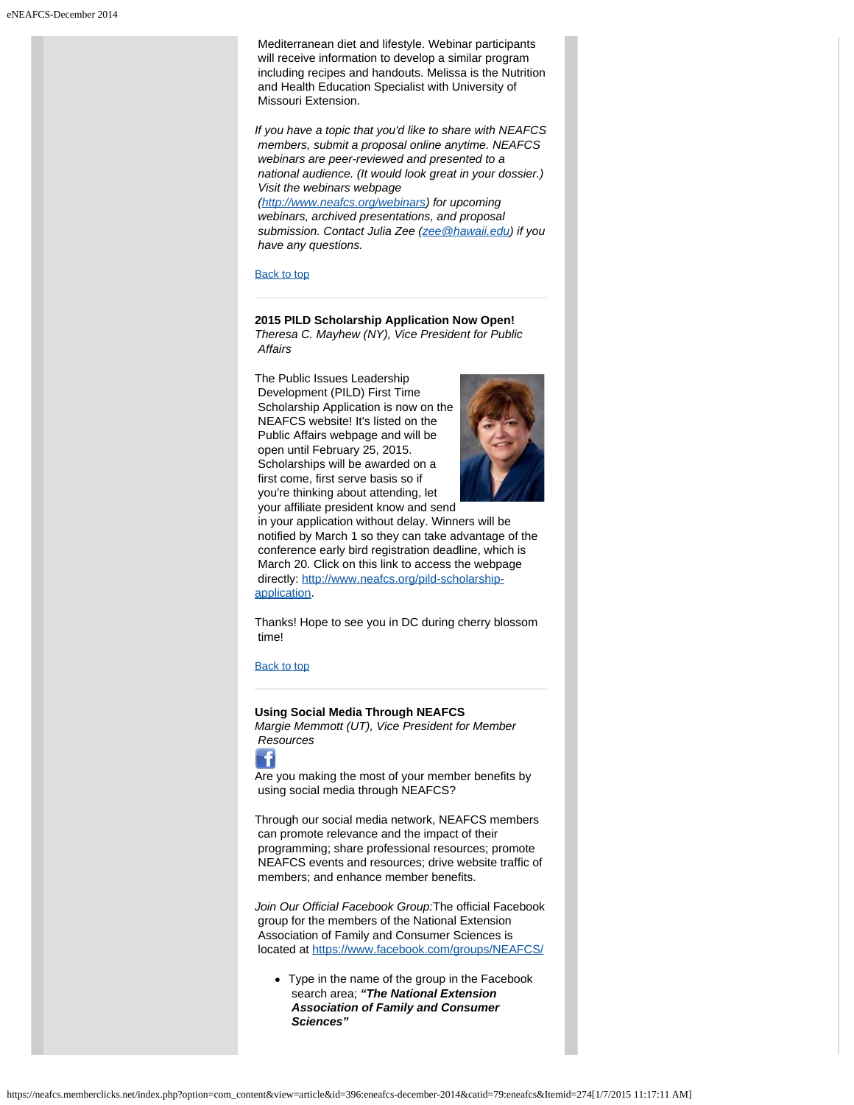Mediterranean diet and lifestyle. Webinar participants will receive information to develop a similar program including recipes and handouts. Melissa is the Nutrition and Health Education Specialist with University of Missouri Extension.

*If you have a topic that you'd like to share with NEAFCS members, submit a proposal online anytime. NEAFCS webinars are peer-reviewed and presented to a national audience. (It would look great in your dossier.) Visit the webinars webpage*

 *(<http://www.neafcs.org/webinars>) for upcoming webinars, archived presentations, and proposal submission. Contact Julia Zee ([zee@hawaii.edu](mailto:zee@hawaii.edu)) if you have any questions.*

[Back to top](#page-0-2)

# <span id="page-3-0"></span>**2015 PILD Scholarship Application Now Open!**

*Theresa C. Mayhew (NY), Vice President for Public Affairs*

The Public Issues Leadership Development (PILD) First Time Scholarship Application is now on the NEAFCS website! It's listed on the Public Affairs webpage and will be open until February 25, 2015. Scholarships will be awarded on a first come, first serve basis so if you're thinking about attending, let



 your affiliate president know and send in your application without delay. Winners will be notified by March 1 so they can take advantage of the conference early bird registration deadline, which is March 20. Click on this link to access the webpage directly: [http://www.neafcs.org/pild-scholarship](http://www.neafcs.org/pild-scholarship-application)[application](http://www.neafcs.org/pild-scholarship-application).

Thanks! Hope to see you in DC during cherry blossom time!

[Back to top](#page-0-2)

# <span id="page-3-1"></span>**Using Social Media Through NEAFCS**

*Margie Memmott (UT), Vice President for Member Resources*



Are you making the most of your member benefits by using social media through NEAFCS?

Through our social media network, NEAFCS members can promote relevance and the impact of their programming; share professional resources; promote NEAFCS events and resources; drive website traffic of members; and enhance member benefits.

*Join Our Official Facebook Group:*The official Facebook group for the members of the National Extension Association of Family and Consumer Sciences is located at<https://www.facebook.com/groups/NEAFCS/>

Type in the name of the group in the Facebook search area; *"The National Extension Association of Family and Consumer Sciences"*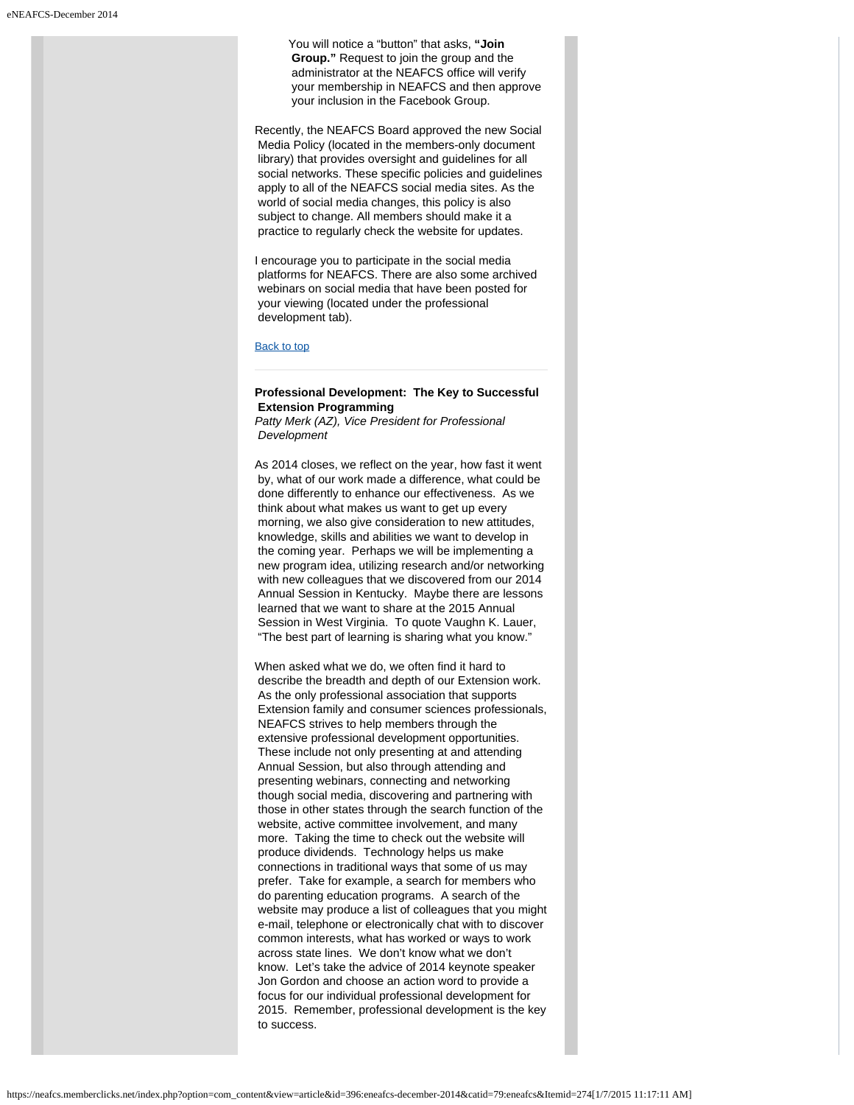You will notice a "button" that asks, **"Join Group."** Request to join the group and the administrator at the NEAFCS office will verify your membership in NEAFCS and then approve your inclusion in the Facebook Group.

Recently, the NEAFCS Board approved the new Social Media Policy (located in the members-only document library) that provides oversight and guidelines for all social networks. These specific policies and guidelines apply to all of the NEAFCS social media sites. As the world of social media changes, this policy is also subject to change. All members should make it a practice to regularly check the website for updates.

I encourage you to participate in the social media platforms for NEAFCS. There are also some archived webinars on social media that have been posted for your viewing (located under the professional development tab).

#### [Back to top](#page-0-2)

# <span id="page-4-0"></span>**Professional Development: The Key to Successful Extension Programming**

*Patty Merk (AZ), Vice President for Professional Development*

As 2014 closes, we reflect on the year, how fast it went by, what of our work made a difference, what could be done differently to enhance our effectiveness. As we think about what makes us want to get up every morning, we also give consideration to new attitudes, knowledge, skills and abilities we want to develop in the coming year. Perhaps we will be implementing a new program idea, utilizing research and/or networking with new colleagues that we discovered from our 2014 Annual Session in Kentucky. Maybe there are lessons learned that we want to share at the 2015 Annual Session in West Virginia. To quote Vaughn K. Lauer, "The best part of learning is sharing what you know."

When asked what we do, we often find it hard to describe the breadth and depth of our Extension work. As the only professional association that supports Extension family and consumer sciences professionals, NEAFCS strives to help members through the extensive professional development opportunities. These include not only presenting at and attending Annual Session, but also through attending and presenting webinars, connecting and networking though social media, discovering and partnering with those in other states through the search function of the website, active committee involvement, and many more. Taking the time to check out the website will produce dividends. Technology helps us make connections in traditional ways that some of us may prefer. Take for example, a search for members who do parenting education programs. A search of the website may produce a list of colleagues that you might e-mail, telephone or electronically chat with to discover common interests, what has worked or ways to work across state lines. We don't know what we don't know. Let's take the advice of 2014 keynote speaker Jon Gordon and choose an action word to provide a focus for our individual professional development for 2015. Remember, professional development is the key to success.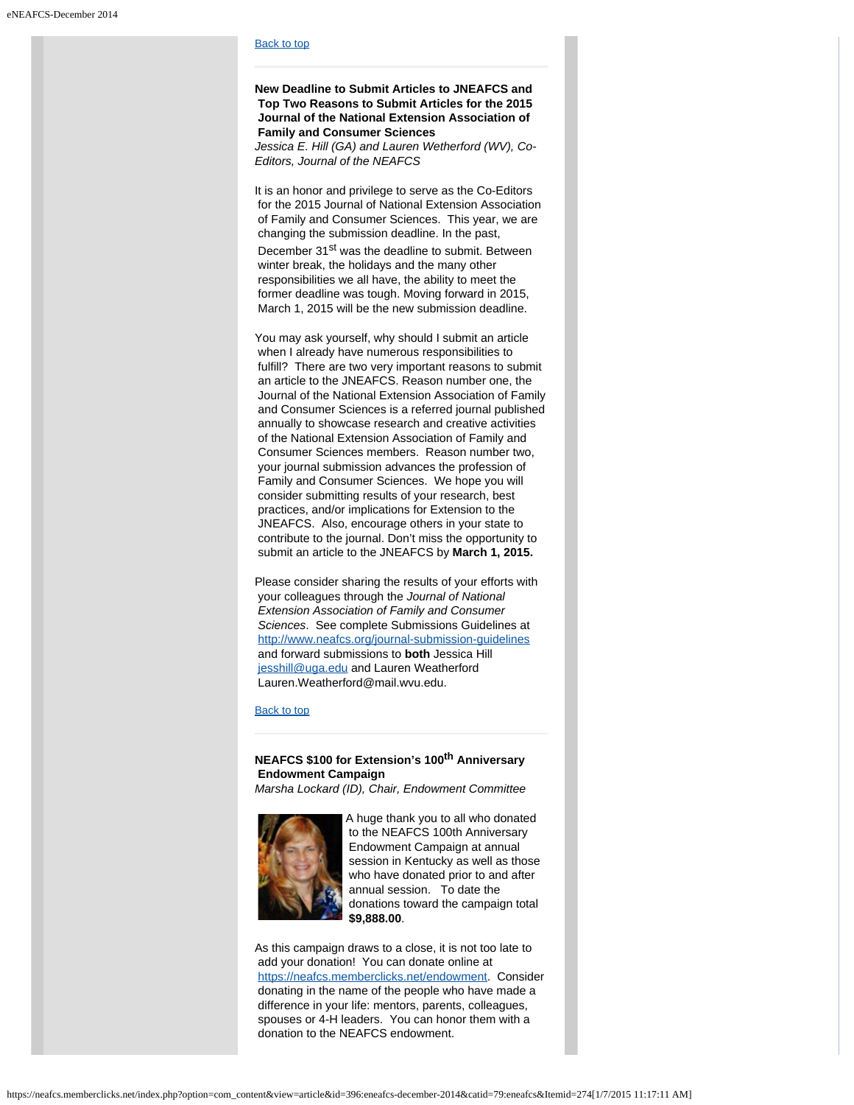# [Back to top](#page-0-2)

**New Deadline to Submit Articles to JNEAFCS and Top Two Reasons to Submit Articles for the 2015 Journal of the National Extension Association of Family and Consumer Sciences**

<span id="page-5-0"></span>*Jessica E. Hill (GA) and Lauren Wetherford (WV), Co-Editors, Journal of the NEAFCS*

It is an honor and privilege to serve as the Co-Editors for the 2015 Journal of National Extension Association of Family and Consumer Sciences. This year, we are changing the submission deadline. In the past, December 31<sup>st</sup> was the deadline to submit. Between winter break, the holidays and the many other responsibilities we all have, the ability to meet the former deadline was tough. Moving forward in 2015, March 1, 2015 will be the new submission deadline.

You may ask yourself, why should I submit an article when I already have numerous responsibilities to fulfill? There are two very important reasons to submit an article to the JNEAFCS. Reason number one, the Journal of the National Extension Association of Family and Consumer Sciences is a referred journal published annually to showcase research and creative activities of the National Extension Association of Family and Consumer Sciences members. Reason number two, your journal submission advances the profession of Family and Consumer Sciences. We hope you will consider submitting results of your research, best practices, and/or implications for Extension to the JNEAFCS. Also, encourage others in your state to contribute to the journal. Don't miss the opportunity to submit an article to the JNEAFCS by **March 1, 2015.**

Please consider sharing the results of your efforts with your colleagues through the *Journal of National Extension Association of Family and Consumer Sciences*. See complete Submissions Guidelines at <http://www.neafcs.org/journal-submission-guidelines> and forward submissions to **both** Jessica Hill [jesshill@uga.edu](mailto:jesshill@uga.edu) and Lauren Weatherford Lauren.Weatherford@mail.wvu.edu.

## [Back to top](#page-0-2)

# **NEAFCS \$100 for Extension's 100th Anniversary Endowment Campaign**

*Marsha Lockard (ID), Chair, Endowment Committee*

<span id="page-5-1"></span>

A huge thank you to all who donated to the NEAFCS 100th Anniversary Endowment Campaign at annual session in Kentucky as well as those who have donated prior to and after annual session. To date the donations toward the campaign total **\$9,888.00**.

As this campaign draws to a close, it is not too late to add your donation! You can donate online at <https://neafcs.memberclicks.net/endowment>. Consider donating in the name of the people who have made a difference in your life: mentors, parents, colleagues, spouses or 4-H leaders. You can honor them with a donation to the NEAFCS endowment.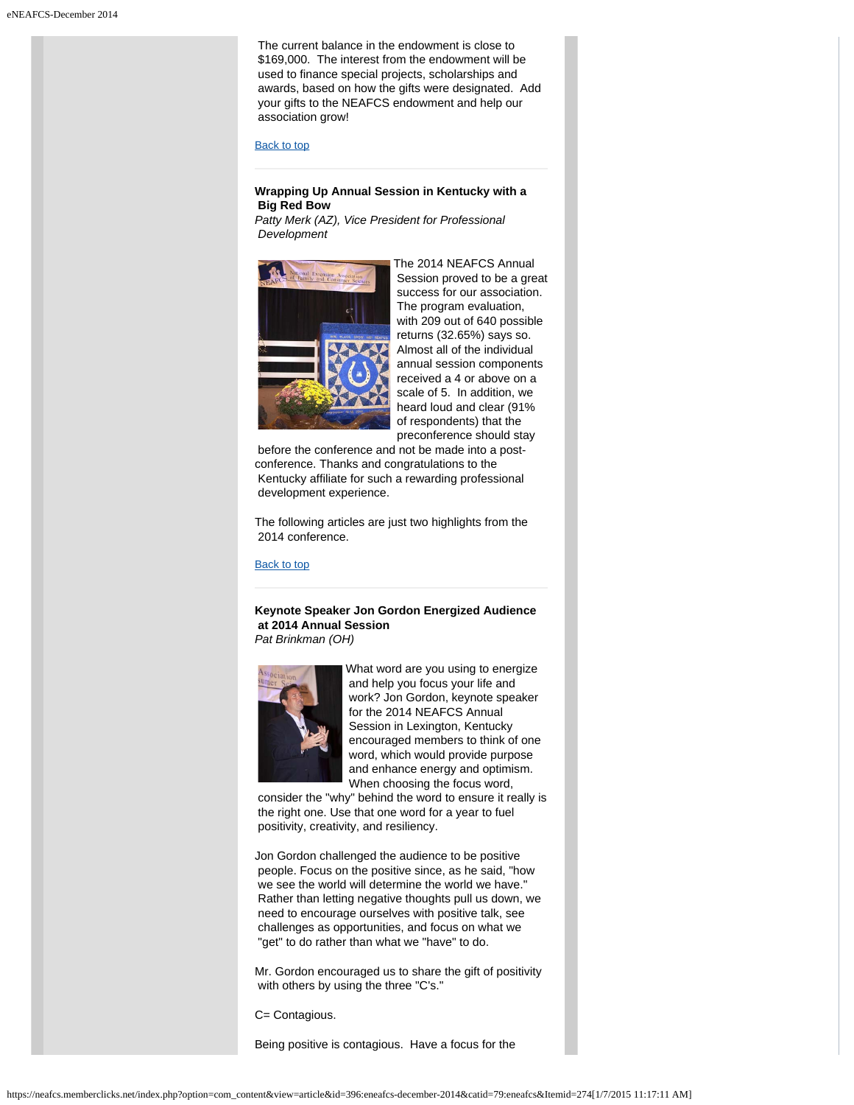The current balance in the endowment is close to \$169,000. The interest from the endowment will be used to finance special projects, scholarships and awards, based on how the gifts were designated. Add your gifts to the NEAFCS endowment and help our association grow!

#### [Back to top](#page-0-2)

# <span id="page-6-0"></span>**Wrapping Up Annual Session in Kentucky with a Big Red Bow**

*Patty Merk (AZ), Vice President for Professional Development*



The 2014 NEAFCS Annual Session proved to be a great success for our association. The program evaluation, with 209 out of 640 possible returns (32.65%) says so. Almost all of the individual annual session components received a 4 or above on a scale of 5. In addition, we heard loud and clear (91% of respondents) that the preconference should stay

 before the conference and not be made into a postconference. Thanks and congratulations to the Kentucky affiliate for such a rewarding professional development experience.

The following articles are just two highlights from the 2014 conference.

# **[Back to top](#page-0-2)**

## <span id="page-6-1"></span>**Keynote Speaker Jon Gordon Energized Audience at 2014 Annual Session** *Pat Brinkman (OH)*



What word are you using to energize and help you focus your life and work? Jon Gordon, keynote speaker for the 2014 NEAFCS Annual Session in Lexington, Kentucky encouraged members to think of one word, which would provide purpose and enhance energy and optimism. When choosing the focus word,

 consider the "why" behind the word to ensure it really is the right one. Use that one word for a year to fuel positivity, creativity, and resiliency.

Jon Gordon challenged the audience to be positive people. Focus on the positive since, as he said, "how we see the world will determine the world we have." Rather than letting negative thoughts pull us down, we need to encourage ourselves with positive talk, see challenges as opportunities, and focus on what we "get" to do rather than what we "have" to do.

Mr. Gordon encouraged us to share the gift of positivity with others by using the three "C's."

C= Contagious.

Being positive is contagious. Have a focus for the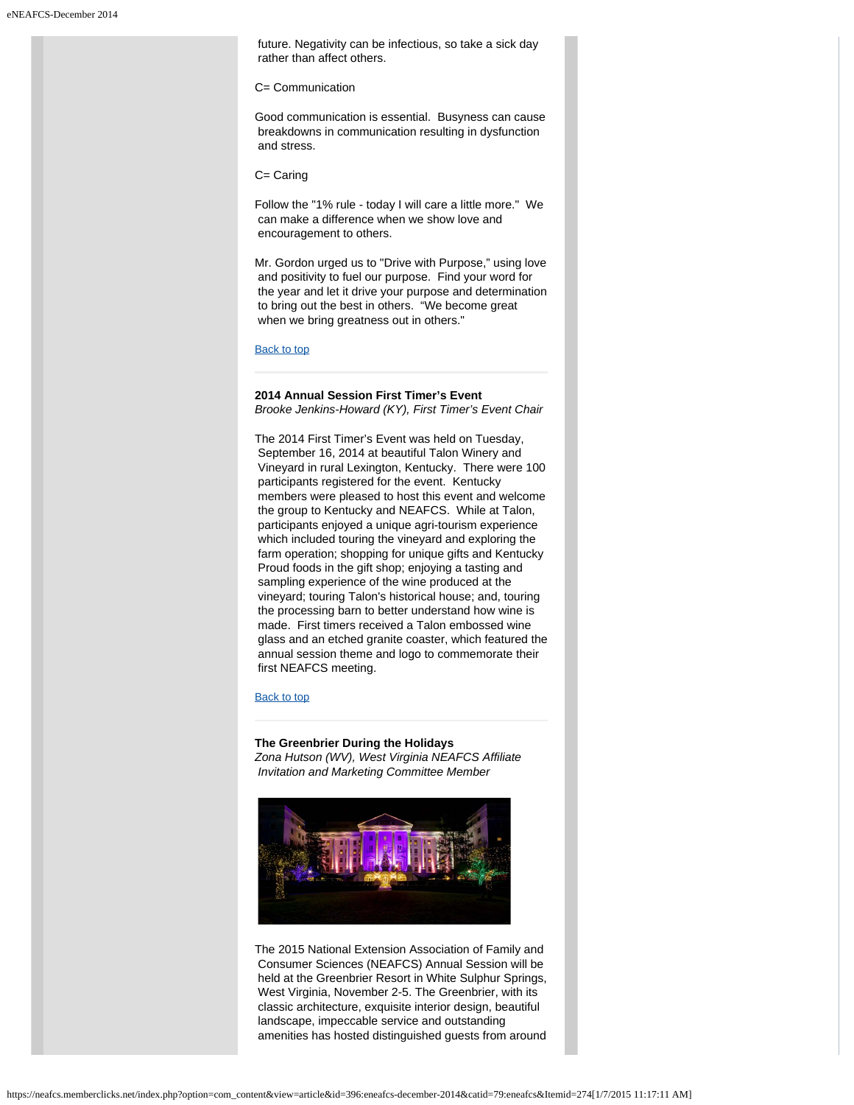future. Negativity can be infectious, so take a sick day rather than affect others.

#### C= Communication

Good communication is essential. Busyness can cause breakdowns in communication resulting in dysfunction and stress.

C= Caring

Follow the "1% rule - today I will care a little more." We can make a difference when we show love and encouragement to others.

Mr. Gordon urged us to "Drive with Purpose," using love and positivity to fuel our purpose. Find your word for the year and let it drive your purpose and determination to bring out the best in others. "We become great when we bring greatness out in others."

## [Back to top](#page-0-2)

## <span id="page-7-0"></span>**2014 Annual Session First Timer's Event** *Brooke Jenkins-Howard (KY), First Timer's Event Chair*

The 2014 First Timer's Event was held on Tuesday, September 16, 2014 at beautiful Talon Winery and Vineyard in rural Lexington, Kentucky. There were 100 participants registered for the event. Kentucky members were pleased to host this event and welcome the group to Kentucky and NEAFCS. While at Talon, participants enjoyed a unique agri-tourism experience which included touring the vineyard and exploring the farm operation; shopping for unique gifts and Kentucky Proud foods in the gift shop; enjoying a tasting and sampling experience of the wine produced at the vineyard; touring Talon's historical house; and, touring the processing barn to better understand how wine is made. First timers received a Talon embossed wine glass and an etched granite coaster, which featured the annual session theme and logo to commemorate their first NEAFCS meeting.

#### [Back to top](#page-0-2)

## **The Greenbrier During the Holidays**

*Zona Hutson (WV), West Virginia NEAFCS Affiliate Invitation and Marketing Committee Member*

<span id="page-7-1"></span>

The 2015 National Extension Association of Family and Consumer Sciences (NEAFCS) Annual Session will be held at the Greenbrier Resort in White Sulphur Springs, West Virginia, November 2-5. The Greenbrier, with its classic architecture, exquisite interior design, beautiful landscape, impeccable service and outstanding amenities has hosted distinguished guests from around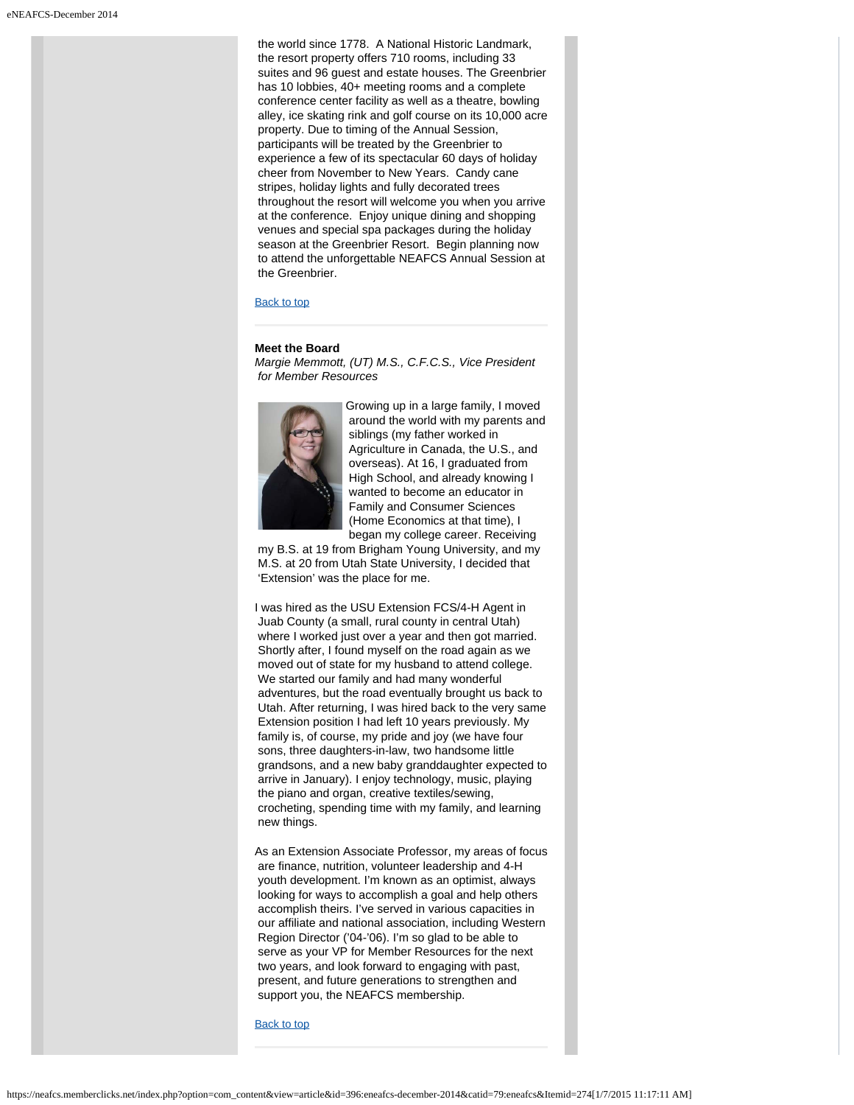the world since 1778. A National Historic Landmark, the resort property offers 710 rooms, including 33 suites and 96 guest and estate houses. The Greenbrier has 10 lobbies, 40+ meeting rooms and a complete conference center facility as well as a theatre, bowling alley, ice skating rink and golf course on its 10,000 acre property. Due to timing of the Annual Session, participants will be treated by the Greenbrier to experience a few of its spectacular 60 days of holiday cheer from November to New Years. Candy cane stripes, holiday lights and fully decorated trees throughout the resort will welcome you when you arrive at the conference. Enjoy unique dining and shopping venues and special spa packages during the holiday season at the Greenbrier Resort. Begin planning now to attend the unforgettable NEAFCS Annual Session at the Greenbrier.

## [Back to top](#page-0-2)

#### **Meet the Board**

*Margie Memmott, (UT) M.S., C.F.C.S., Vice President for Member Resources*

<span id="page-8-0"></span>

Growing up in a large family, I moved around the world with my parents and siblings (my father worked in Agriculture in Canada, the U.S., and overseas). At 16, I graduated from High School, and already knowing I wanted to become an educator in Family and Consumer Sciences (Home Economics at that time), I began my college career. Receiving

 my B.S. at 19 from Brigham Young University, and my M.S. at 20 from Utah State University, I decided that 'Extension' was the place for me.

I was hired as the USU Extension FCS/4-H Agent in Juab County (a small, rural county in central Utah) where I worked just over a year and then got married. Shortly after, I found myself on the road again as we moved out of state for my husband to attend college. We started our family and had many wonderful adventures, but the road eventually brought us back to Utah. After returning, I was hired back to the very same Extension position I had left 10 years previously. My family is, of course, my pride and joy (we have four sons, three daughters-in-law, two handsome little grandsons, and a new baby granddaughter expected to arrive in January). I enjoy technology, music, playing the piano and organ, creative textiles/sewing, crocheting, spending time with my family, and learning new things.

As an Extension Associate Professor, my areas of focus are finance, nutrition, volunteer leadership and 4-H youth development. I'm known as an optimist, always looking for ways to accomplish a goal and help others accomplish theirs. I've served in various capacities in our affiliate and national association, including Western Region Director ('04-'06). I'm so glad to be able to serve as your VP for Member Resources for the next two years, and look forward to engaging with past, present, and future generations to strengthen and support you, the NEAFCS membership.

[Back to top](#page-0-2)